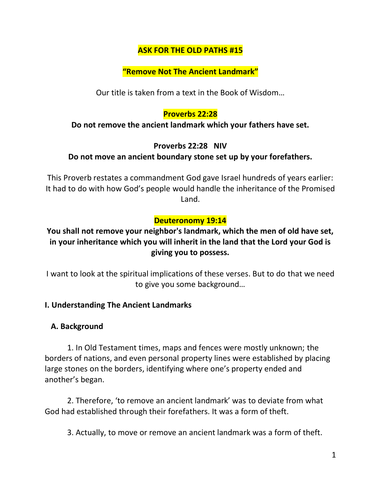# **ASK FOR THE OLD PATHS #15**

## **"Remove Not The Ancient Landmark"**

Our title is taken from a text in the Book of Wisdom…

# **Proverbs 22:28**

#### **Do not remove the ancient landmark which your fathers have set.**

## **Proverbs 22:28 NIV**

# **Do not move an ancient boundary stone set up by your forefathers.**

This Proverb restates a commandment God gave Israel hundreds of years earlier: It had to do with how God's people would handle the inheritance of the Promised Land.

# **Deuteronomy 19:14**

# **You shall not remove your neighbor's landmark, which the men of old have set, in your inheritance which you will inherit in the land that the Lord your God is giving you to possess.**

I want to look at the spiritual implications of these verses. But to do that we need to give you some background…

## **I. Understanding The Ancient Landmarks**

## **A. Background**

1. In Old Testament times, maps and fences were mostly unknown; the borders of nations, and even personal property lines were established by placing large stones on the borders, identifying where one's property ended and another's began.

2. Therefore, 'to remove an ancient landmark' was to deviate from what God had established through their forefathers. It was a form of theft.

3. Actually, to move or remove an ancient landmark was a form of theft.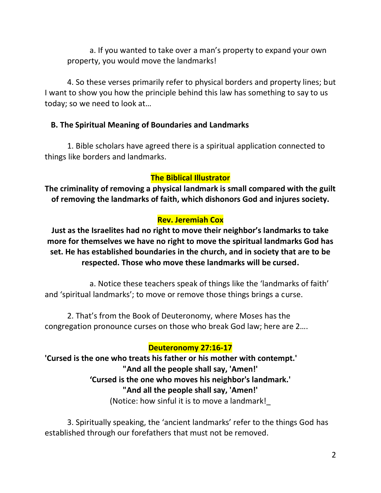a. If you wanted to take over a man's property to expand your own property, you would move the landmarks!

4. So these verses primarily refer to physical borders and property lines; but I want to show you how the principle behind this law has something to say to us today; so we need to look at…

## **B. The Spiritual Meaning of Boundaries and Landmarks**

1. Bible scholars have agreed there is a spiritual application connected to things like borders and landmarks.

## **The Biblical Illustrator**

**The criminality of removing a physical landmark is small compared with the guilt of removing the landmarks of faith, which dishonors God and injures society.** 

## **Rev. Jeremiah Cox**

**Just as the Israelites had no right to move their neighbor's landmarks to take more for themselves we have no right to move the spiritual landmarks God has set. He has established boundaries in the church, and in society that are to be respected. Those who move these landmarks will be cursed.**

a. Notice these teachers speak of things like the 'landmarks of faith' and 'spiritual landmarks'; to move or remove those things brings a curse.

2. That's from the Book of Deuteronomy, where Moses has the congregation pronounce curses on those who break God law; here are 2….

## **Deuteronomy 27:16-17**

**'Cursed is the one who treats his father or his mother with contempt.' "And all the people shall say, 'Amen!' 'Cursed is the one who moves his neighbor's landmark.' "And all the people shall say, 'Amen!'**  (Notice: how sinful it is to move a landmark!\_

3. Spiritually speaking, the 'ancient landmarks' refer to the things God has established through our forefathers that must not be removed.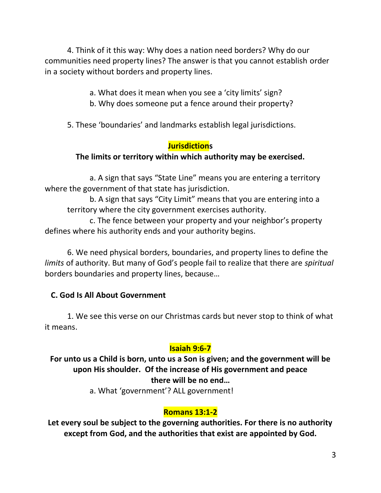4. Think of it this way: Why does a nation need borders? Why do our communities need property lines? The answer is that you cannot establish order in a society without borders and property lines.

- a. What does it mean when you see a 'city limits' sign?
- b. Why does someone put a fence around their property?

5. These 'boundaries' and landmarks establish legal jurisdictions.

## **Jurisdictions**

## **The limits or territory within which authority may be exercised.**

a. A sign that says "State Line" means you are entering a territory where the government of that state has jurisdiction.

b. A sign that says "City Limit" means that you are entering into a territory where the city government exercises authority.

c. The fence between your property and your neighbor's property defines where his authority ends and your authority begins.

6. We need physical borders, boundaries, and property lines to define the *limits* of authority. But many of God's people fail to realize that there are *spiritual* borders boundaries and property lines, because…

## **C. God Is All About Government**

1. We see this verse on our Christmas cards but never stop to think of what it means.

# **Isaiah 9:6-7**

**For unto us a Child is born, unto us a Son is given; and the government will be upon His shoulder. Of the increase of His government and peace there will be no end…**

a. What 'government'? ALL government!

# **Romans 13:1-2**

**Let every soul be subject to the governing authorities. For there is no authority except from God, and the authorities that exist are appointed by God.**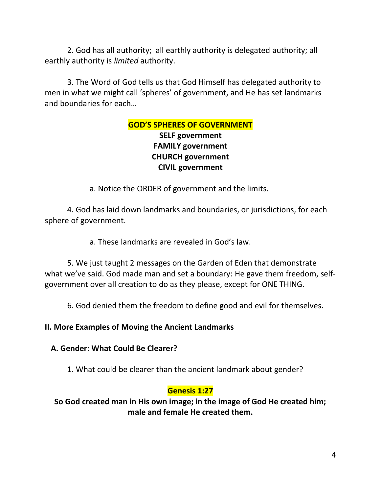2. God has all authority; all earthly authority is delegated authority; all earthly authority is *limited* authority.

3. The Word of God tells us that God Himself has delegated authority to men in what we might call 'spheres' of government, and He has set landmarks and boundaries for each…

# **GOD'S SPHERES OF GOVERNMENT SELF government FAMILY government**

# **CHURCH government CIVIL government**

a. Notice the ORDER of government and the limits.

4. God has laid down landmarks and boundaries, or jurisdictions, for each sphere of government.

a. These landmarks are revealed in God's law.

5. We just taught 2 messages on the Garden of Eden that demonstrate what we've said. God made man and set a boundary: He gave them freedom, selfgovernment over all creation to do as they please, except for ONE THING.

6. God denied them the freedom to define good and evil for themselves.

**II. More Examples of Moving the Ancient Landmarks**

# **A. Gender: What Could Be Clearer?**

1. What could be clearer than the ancient landmark about gender?

# **Genesis 1:27**

**So God created man in His own image; in the image of God He created him; male and female He created them.**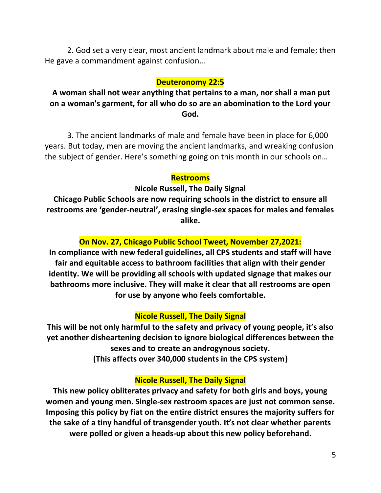2. God set a very clear, most ancient landmark about male and female; then He gave a commandment against confusion…

# **Deuteronomy 22:5**

**A woman shall not wear anything that pertains to a man, nor shall a man put on a woman's garment, for all who do so are an abomination to the Lord your God.** 

3. The ancient landmarks of male and female have been in place for 6,000 years. But today, men are moving the ancient landmarks, and wreaking confusion the subject of gender. Here's something going on this month in our schools on…

#### **Restrooms**

**Nicole Russell, The Daily Signal**

**Chicago Public Schools are now requiring schools in the district to ensure all restrooms are 'gender-neutral', erasing single-sex spaces for males and females alike.**

## **On Nov. 27, Chicago Public School Tweet, November 27,2021:**

**In compliance with new federal guidelines, all CPS students and staff will have fair and equitable access to bathroom facilities that align with their gender identity. We will be providing all schools with updated signage that makes our bathrooms more inclusive. They will make it clear that all restrooms are open for use by anyone who feels comfortable.**

## **Nicole Russell, The Daily Signal**

**This will be not only harmful to the safety and privacy of young people, it's also yet another disheartening decision to ignore biological differences between the sexes and to create an androgynous society.**

**(This affects over 340,000 students in the CPS system)**

## **Nicole Russell, The Daily Signal**

**This new policy [obliterates privacy and safety for both girls and boys,](https://www.dailysignal.com/2021/07/21/you-have-a-right-to-be-transgender-you-dont-have-a-right-to-expose-yourself-to-women/) young women and young men. Single-sex restroom spaces are just not common sense. Imposing this policy by fiat on the entire district ensures the majority suffers for the sake of a tiny handful of transgender youth. It's not clear whether parents were polled or given a heads-up about this new policy beforehand.**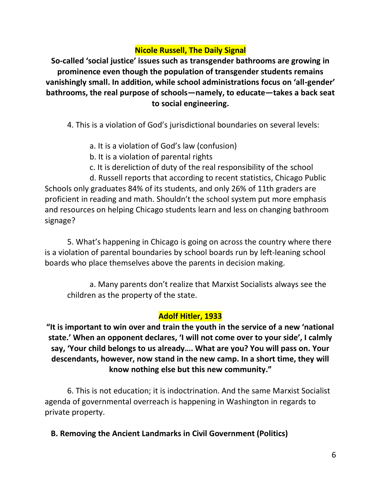# **Nicole Russell, The Daily Signal**

**So-called 'social justice' issues such as transgender bathrooms are growing in prominence even though the population of transgender students remains vanishingly [small](https://www.edweek.org/leadership/how-many-transgender-children-are-there/2017/03). In addition, while school administrations focus on 'all-gender' bathrooms, the real purpose of schools—namely, to educate—takes a back seat to social engineering.**

4. This is a violation of God's jurisdictional boundaries on several levels:

- a. It is a violation of God's law (confusion)
- b. It is a violation of parental rights
- c. It is dereliction of duty of the real responsibility of the school

d. Russell reports that according to recent [statistics,](https://wirepoints.org/how-can-84-of-chicago-public-schools-students-graduate-when-only-26-of-11th-graders-are-proficient-in-reading-math-wirepoints-quickpoint/) Chicago Public Schools only graduates 84% of its students, and only 26% of 11th graders are proficient in reading and math. Shouldn't the school system put more emphasis and resources on helping Chicago students learn and less on changing bathroom signage?

5. What's happening in Chicago is going on across the country where there is a violation of parental boundaries by school boards run by left-leaning school boards who place themselves above the parents in decision making.

a. Many parents don't realize that Marxist Socialists always see the children as the property of the state.

## **Adolf Hitler, 1933**

**"It is important to win over and train the youth in the service of a new 'national state.' When an opponent declares, 'I will not come over to your side', I calmly say, 'Your child belongs to us already…. What are you? You will pass on. Your descendants, however, now stand in the new camp. In a short time, they will know nothing else but this new community."**

6. This is not education; it is indoctrination. And the same Marxist Socialist agenda of governmental overreach is happening in Washington in regards to private property.

**B. Removing the Ancient Landmarks in Civil Government (Politics)**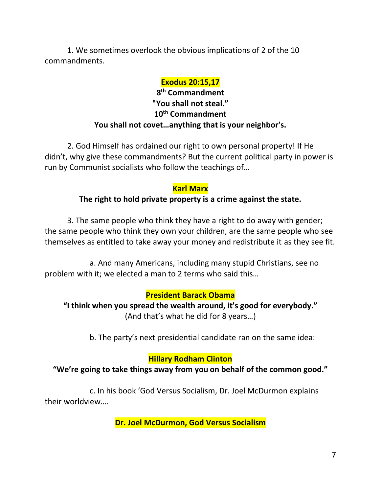1. We sometimes overlook the obvious implications of 2 of the 10 commandments.

#### **Exodus 20:15,17**

# **8 th Commandment "You shall not steal." 10th Commandment You shall not covet…anything that is your neighbor's.**

2. God Himself has ordained our right to own personal property! If He didn't, why give these commandments? But the current political party in power is run by Communist socialists who follow the teachings of…

#### **Karl Marx**

# **The right to hold private property is a crime against the state.**

3. The same people who think they have a right to do away with gender; the same people who think they own your children, are the same people who see themselves as entitled to take away your money and redistribute it as they see fit.

a. And many Americans, including many stupid Christians, see no problem with it; we elected a man to 2 terms who said this…

## **President Barack Obama**

**"I think when you spread the wealth around, it's good for everybody."** (And that's what he did for 8 years…)

b. The party's next presidential candidate ran on the same idea:

## **Hillary Rodham Clinton**

## **"We're going to take things away from you on behalf of the common good."**

c. In his book 'God Versus Socialism, Dr. Joel McDurmon explains their worldview….

**Dr. Joel McDurmon, God Versus Socialism**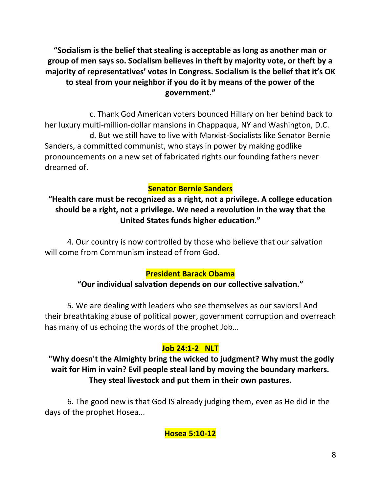**"Socialism is the belief that stealing is acceptable as long as another man or group of men says so. Socialism believes in theft by majority vote, or theft by a majority of representatives' votes in Congress. Socialism is the belief that it's OK to steal from your neighbor if you do it by means of the power of the government."**

c. Thank God American voters bounced Hillary on her behind back to her luxury multi-million-dollar mansions in Chappaqua, NY and Washington, D.C. d. But we still have to live with Marxist-Socialists like Senator Bernie Sanders, a committed communist, who stays in power by making godlike pronouncements on a new set of fabricated rights our founding fathers never dreamed of.

# **Senator Bernie Sanders**

**"Health care must be recognized as a right, not a privilege. A college education should be a right, not a privilege. We need a revolution in the way that the United States funds higher education."**

4. Our country is now controlled by those who believe that our salvation will come from Communism instead of from God.

## **President Barack Obama**

## **"Our individual salvation depends on our collective salvation."**

5. We are dealing with leaders who see themselves as our saviors! And their breathtaking abuse of political power, government corruption and overreach has many of us echoing the words of the prophet Job…

## **Job 24:1-2 NLT**

**"Why doesn't the Almighty bring the wicked to judgment? Why must the godly wait for Him in vain? Evil people steal land by moving the boundary markers. They steal livestock and put them in their own pastures.**

6. The good new is that God IS already judging them, even as He did in the days of the prophet Hosea...

**Hosea 5:10-12**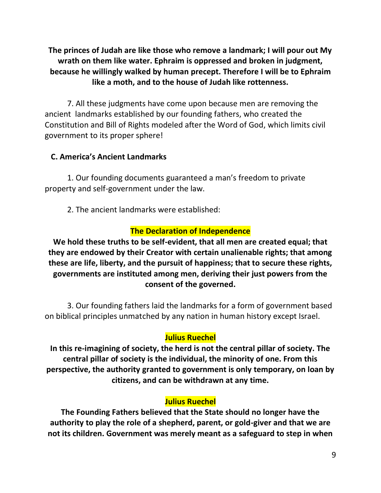**The princes of Judah are like those who remove a landmark; I will pour out My wrath on them like water. Ephraim is oppressed and broken in judgment, because he willingly walked by human precept. Therefore I will be to Ephraim like a moth, and to the house of Judah like rottenness.**

7. All these judgments have come upon because men are removing the ancient landmarks established by our founding fathers, who created the Constitution and Bill of Rights modeled after the Word of God, which limits civil government to its proper sphere!

#### **C. America's Ancient Landmarks**

1. Our founding documents guaranteed a man's freedom to private property and self-government under the law.

2. The ancient landmarks were established:

# **The Declaration of Independence**

**We hold these truths to be self-evident, that all men are created equal; that they are endowed by their Creator with certain unalienable rights; that among these are life, liberty, and the pursuit of happiness; that to secure these rights, governments are instituted among men, deriving their just powers from the consent of the governed.**

3. Our founding fathers laid the landmarks for a form of government based on biblical principles unmatched by any nation in human history except Israel.

#### **Julius Ruechel**

**In this re-imagining of society, the herd is not the central pillar of society. The central pillar of society is the individual, the minority of one. From this perspective, the authority granted to government is only temporary, on loan by citizens, and can be withdrawn at any time.**

#### **Julius Ruechel**

**The Founding Fathers believed that the State should no longer have the authority to play the role of a shepherd, parent, or gold-giver and that we are not its children. Government was merely meant as a safeguard to step in when**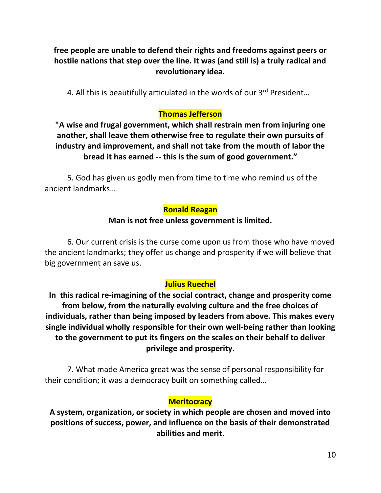# **free people are unable to defend their rights and freedoms against peers or hostile nations that step over the line. It was (and still is) a truly radical and revolutionary idea.**

4. All this is beautifully articulated in the words of our 3rd President...

# **Thomas Jefferson**

**"A wise and frugal government, which shall restrain men from injuring one another, shall leave them otherwise free to regulate their own pursuits of industry and improvement, and shall not take from the mouth of labor the bread it has earned -- this is the sum of good government."**

5. God has given us godly men from time to time who remind us of the ancient landmarks…

# **Ronald Reagan**

# **Man is not free unless government is limited.**

6. Our current crisis is the curse come upon us from those who have moved the ancient landmarks; they offer us change and prosperity if we will believe that big government an save us.

# **Julius Ruechel**

**In this radical re-imagining of the social contract, change and prosperity come from below, from the naturally evolving culture and the free choices of individuals, rather than being imposed by leaders from above. This makes every single individual wholly responsible for their own well-being rather than looking to the government to put its fingers on the scales on their behalf to deliver privilege and prosperity.**

7. What made America great was the sense of personal responsibility for their condition; it was a democracy built on something called…

# **Meritocracy**

**A system, organization, or society in which people are chosen and moved into positions of success, power, and influence on the basis of their demonstrated abilities and merit.**